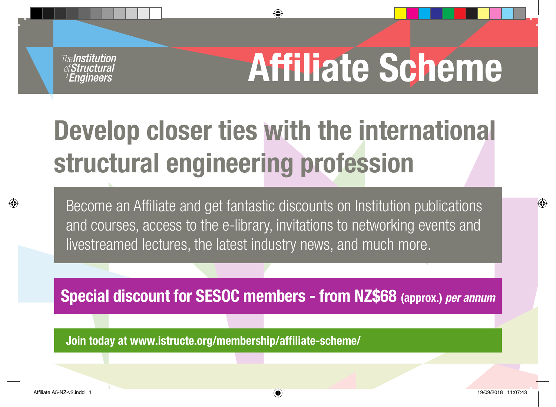## Affiliate Scheme

## Develop closer ties with the international structural engineering profession

 $\bigoplus$ 

Become an Affiliate and get fantastic discounts on Institution publications and courses, access to the e-library, invitations to networking events and livestreamed lectures, the latest industry news, and much more.

Special discount for SESOC members - from NZ\$68 (approx.) *per annum*

Join today at www.istructe.org/membership/affiliate-scheme/

**The Institution** of**Structura** Engineers

♠